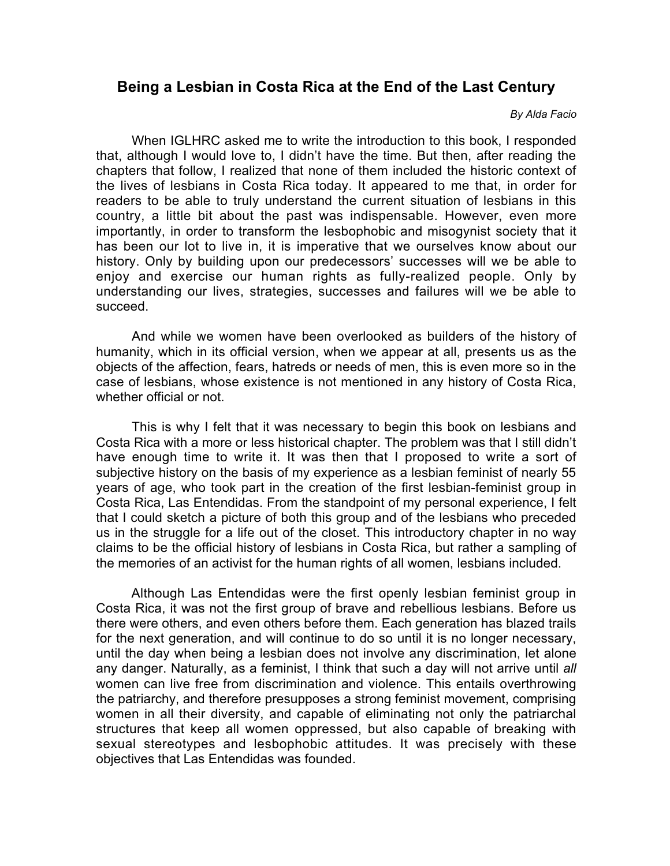## **Being a Lesbian in Costa Rica at the End of the Last Century**

## *By Alda Facio*

When IGLHRC asked me to write the introduction to this book, I responded that, although I would love to, I didn't have the time. But then, after reading the chapters that follow, I realized that none of them included the historic context of the lives of lesbians in Costa Rica today. It appeared to me that, in order for readers to be able to truly understand the current situation of lesbians in this country, a little bit about the past was indispensable. However, even more importantly, in order to transform the lesbophobic and misogynist society that it has been our lot to live in, it is imperative that we ourselves know about our history. Only by building upon our predecessors' successes will we be able to enjoy and exercise our human rights as fully-realized people. Only by understanding our lives, strategies, successes and failures will we be able to succeed.

And while we women have been overlooked as builders of the history of humanity, which in its official version, when we appear at all, presents us as the objects of the affection, fears, hatreds or needs of men, this is even more so in the case of lesbians, whose existence is not mentioned in any history of Costa Rica, whether official or not.

This is why I felt that it was necessary to begin this book on lesbians and Costa Rica with a more or less historical chapter. The problem was that I still didn't have enough time to write it. It was then that I proposed to write a sort of subjective history on the basis of my experience as a lesbian feminist of nearly 55 years of age, who took part in the creation of the first lesbian-feminist group in Costa Rica, Las Entendidas. From the standpoint of my personal experience, I felt that I could sketch a picture of both this group and of the lesbians who preceded us in the struggle for a life out of the closet. This introductory chapter in no way claims to be the official history of lesbians in Costa Rica, but rather a sampling of the memories of an activist for the human rights of all women, lesbians included.

Although Las Entendidas were the first openly lesbian feminist group in Costa Rica, it was not the first group of brave and rebellious lesbians. Before us there were others, and even others before them. Each generation has blazed trails for the next generation, and will continue to do so until it is no longer necessary, until the day when being a lesbian does not involve any discrimination, let alone any danger. Naturally, as a feminist, I think that such a day will not arrive until *all* women can live free from discrimination and violence. This entails overthrowing the patriarchy, and therefore presupposes a strong feminist movement, comprising women in all their diversity, and capable of eliminating not only the patriarchal structures that keep all women oppressed, but also capable of breaking with sexual stereotypes and lesbophobic attitudes. It was precisely with these objectives that Las Entendidas was founded.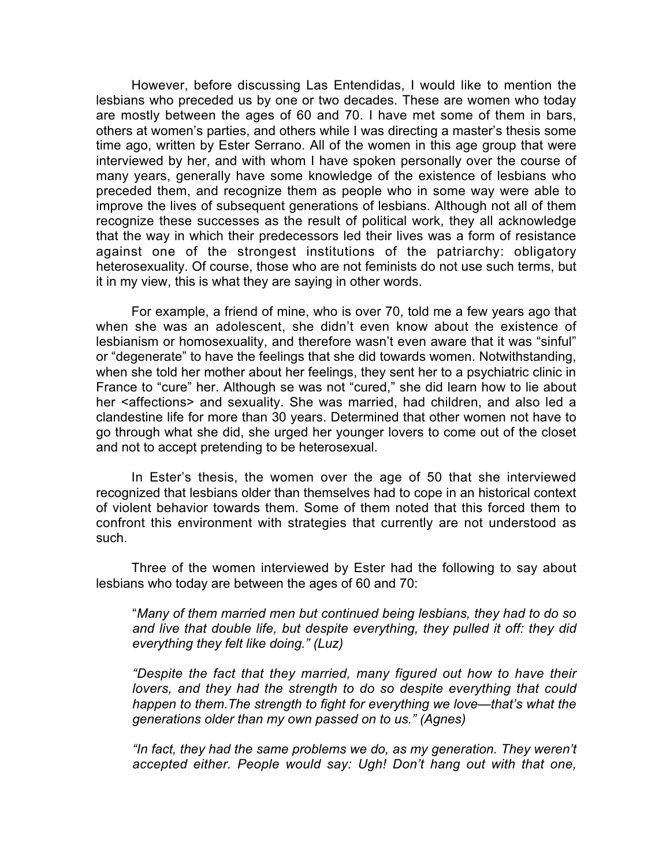However, before discussing Las Entendidas, I would like to mention the lesbians who preceded us by one or two decades. These are women who today are mostly between the ages of 60 and 70. I have met some of them in bars, others at women's parties, and others while I was directing a master's thesis some time ago, written by Ester Serrano. All of the women in this age group that were interviewed by her, and with whom I have spoken personally over the course of many years, generally have some knowledge of the existence of lesbians who preceded them, and recognize them as people who in some way were able to improve the lives of subsequent generations of lesbians. Although not all of them recognize these successes as the result of political work, they all acknowledge that the way in which their predecessors led their lives was a form of resistance against one of the strongest institutions of the patriarchy: obligatory heterosexuality. Of course, those who are not feminists do not use such terms, but it in my view, this is what they are saying in other words.

For example, a friend of mine, who is over 70, told me a few years ago that when she was an adolescent, she didn't even know about the existence of lesbianism or homosexuality, and therefore wasn't even aware that it was "sinful" or "degenerate" to have the feelings that she did towards women. Notwithstanding, when she told her mother about her feelings, they sent her to a psychiatric clinic in France to "cure" her. Although se was not "cured," she did learn how to lie about her <affections> and sexuality. She was married, had children, and also led a clandestine life for more than 30 years. Determined that other women not have to go through what she did, she urged her younger lovers to come out of the closet and not to accept pretending to be heterosexual.

In Ester's thesis, the women over the age of 50 that she interviewed recognized that lesbians older than themselves had to cope in an historical context of violent behavior towards them. Some of them noted that this forced them to confront this environment with strategies that currently are not understood as such.

Three of the women interviewed by Ester had the following to say about lesbians who today are between the ages of 60 and 70:

"*Many of them married men but continued being lesbians, they had to do so and live that double life, but despite everything, they pulled it off: they did everything they felt like doing." (Luz)*

*"Despite the fact that they married, many figured out how to have their lovers, and they had the strength to do so despite everything that could happen to them.The strength to fight for everything we love—that's what the generations older than my own passed on to us." (Agnes)*

*"In fact, they had the same problems we do, as my generation. They weren't accepted either. People would say: Ugh! Don't hang out with that one,*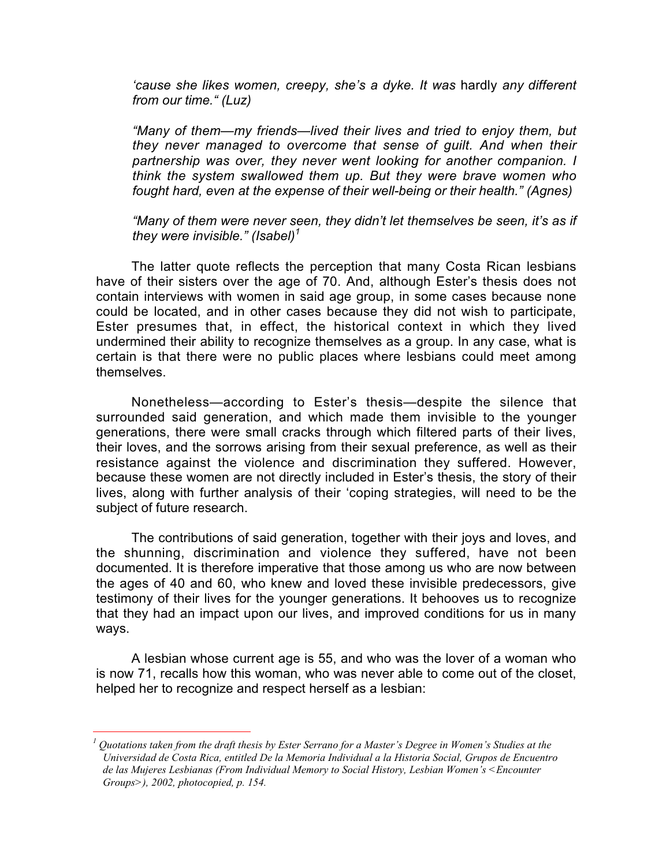*'cause she likes women, creepy, she's a dyke. It was* hardly *any different from our time." (Luz)*

*"Many of them—my friends—lived their lives and tried to enjoy them, but they never managed to overcome that sense of guilt. And when their partnership was over, they never went looking for another companion. I think the system swallowed them up. But they were brave women who fought hard, even at the expense of their well-being or their health." (Agnes)*

*"Many of them were never seen, they didn't let themselves be seen, it's as if they were invisible." (Isabel)<sup>1</sup>*

The latter quote reflects the perception that many Costa Rican lesbians have of their sisters over the age of 70. And, although Ester's thesis does not contain interviews with women in said age group, in some cases because none could be located, and in other cases because they did not wish to participate, Ester presumes that, in effect, the historical context in which they lived undermined their ability to recognize themselves as a group. In any case, what is certain is that there were no public places where lesbians could meet among themselves.

Nonetheless—according to Ester's thesis—despite the silence that surrounded said generation, and which made them invisible to the younger generations, there were small cracks through which filtered parts of their lives, their loves, and the sorrows arising from their sexual preference, as well as their resistance against the violence and discrimination they suffered. However, because these women are not directly included in Ester's thesis, the story of their lives, along with further analysis of their 'coping strategies, will need to be the subject of future research.

The contributions of said generation, together with their joys and loves, and the shunning, discrimination and violence they suffered, have not been documented. It is therefore imperative that those among us who are now between the ages of 40 and 60, who knew and loved these invisible predecessors, give testimony of their lives for the younger generations. It behooves us to recognize that they had an impact upon our lives, and improved conditions for us in many ways.

A lesbian whose current age is 55, and who was the lover of a woman who is now 71, recalls how this woman, who was never able to come out of the closet, helped her to recognize and respect herself as a lesbian:

 $\frac{1}{1}$  Quotations taken from the draft thesis by Ester Serrano for a Master's Degree in Women's Studies at the Universidad de Costa Rica, entitled De la Memoria Individual a la Historia Social, Grupos de Encuentro de las Mujeres Lesbianas (From Individual Memory to Social History, Lesbian Women's <Encounter Groups>), 2002, photocopied, p. 154.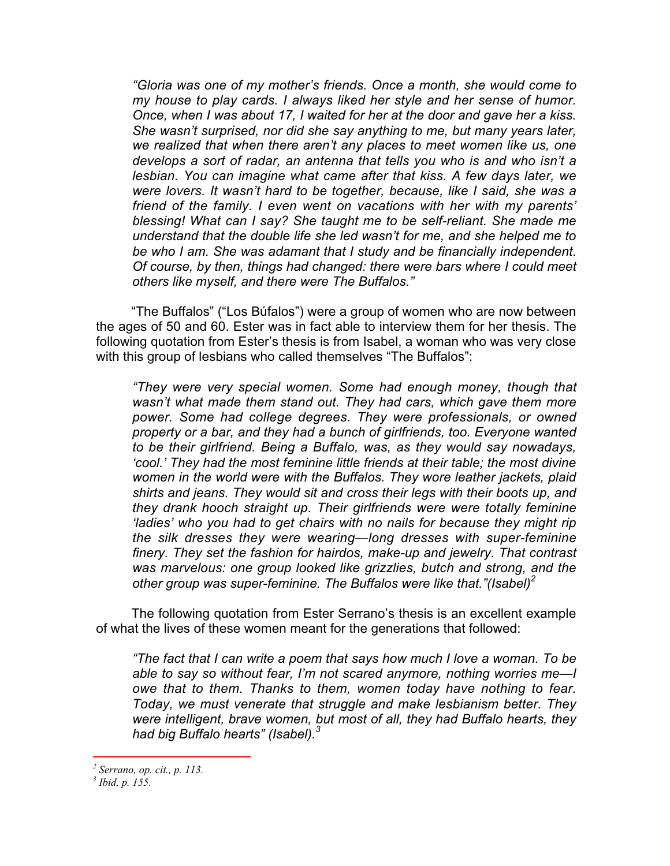*"Gloria was one of my mother's friends. Once a month, she would come to my house to play cards. I always liked her style and her sense of humor. Once, when I was about 17, I waited for her at the door and gave her a kiss. She wasn't surprised, nor did she say anything to me, but many years later, we realized that when there aren't any places to meet women like us, one develops a sort of radar, an antenna that tells you who is and who isn't a lesbian. You can imagine what came after that kiss. A few days later, we were lovers. It wasn't hard to be together, because, like I said, she was a friend of the family. I even went on vacations with her with my parents' blessing! What can I say? She taught me to be self-reliant. She made me understand that the double life she led wasn't for me, and she helped me to be who I am. She was adamant that I study and be financially independent. Of course, by then, things had changed: there were bars where I could meet others like myself, and there were The Buffalos."*

"The Buffalos" ("Los Búfalos") were a group of women who are now between the ages of 50 and 60. Ester was in fact able to interview them for her thesis. The following quotation from Ester's thesis is from Isabel, a woman who was very close with this group of lesbians who called themselves "The Buffalos":

*"They were very special women. Some had enough money, though that wasn't what made them stand out. They had cars, which gave them more power. Some had college degrees. They were professionals, or owned property or a bar, and they had a bunch of girlfriends, too. Everyone wanted to be their girlfriend. Being a Buffalo, was, as they would say nowadays, 'cool.' They had the most feminine little friends at their table; the most divine women in the world were with the Buffalos. They wore leather jackets, plaid shirts and jeans. They would sit and cross their legs with their boots up, and they drank hooch straight up. Their girlfriends were were totally feminine 'ladies' who you had to get chairs with no nails for because they might rip the silk dresses they were wearing—long dresses with super-feminine finery. They set the fashion for hairdos, make-up and jewelry. That contrast was marvelous: one group looked like grizzlies, butch and strong, and the other group was super-feminine. The Buffalos were like that."(Isabel)2*

The following quotation from Ester Serrano's thesis is an excellent example of what the lives of these women meant for the generations that followed:

*"The fact that I can write a poem that says how much I love a woman. To be able to say so without fear, I'm not scared anymore, nothing worries me—I owe that to them. Thanks to them, women today have nothing to fear. Today, we must venerate that struggle and make lesbianism better. They were intelligent, brave women, but most of all, they had Buffalo hearts, they had big Buffalo hearts" (Isabel).<sup>3</sup>*

2 Serrano, op. cit., p. 113.

 $3$  Ibid, p. 155.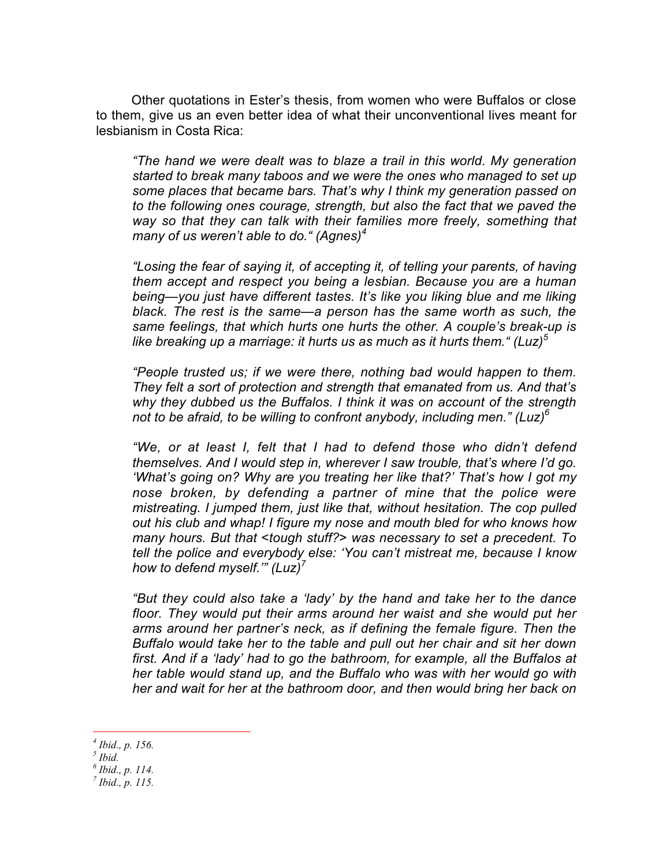Other quotations in Ester's thesis, from women who were Buffalos or close to them, give us an even better idea of what their unconventional lives meant for lesbianism in Costa Rica:

*"The hand we were dealt was to blaze a trail in this world. My generation started to break many taboos and we were the ones who managed to set up some places that became bars. That's why I think my generation passed on to the following ones courage, strength, but also the fact that we paved the way so that they can talk with their families more freely, something that many of us weren't able to do." (Agnes)<sup>4</sup>*

*"Losing the fear of saying it, of accepting it, of telling your parents, of having them accept and respect you being a lesbian. Because you are a human being—you just have different tastes. It's like you liking blue and me liking black. The rest is the same—a person has the same worth as such, the same feelings, that which hurts one hurts the other. A couple's break-up is like breaking up a marriage: it hurts us as much as it hurts them." (Luz)<sup>5</sup>*

*"People trusted us; if we were there, nothing bad would happen to them. They felt a sort of protection and strength that emanated from us. And that's why they dubbed us the Buffalos. I think it was on account of the strength not to be afraid, to be willing to confront anybody, including men." (Luz)6*

*"We, or at least I, felt that I had to defend those who didn't defend themselves. And I would step in, wherever I saw trouble, that's where I'd go. 'What's going on? Why are you treating her like that?' That's how I got my nose broken, by defending a partner of mine that the police were mistreating. I jumped them, just like that, without hesitation. The cop pulled out his club and whap! I figure my nose and mouth bled for who knows how many hours. But that <tough stuff?> was necessary to set a precedent. To tell the police and everybody else: 'You can't mistreat me, because I know how to defend myself.'" (Luz)<sup>7</sup>*

*"But they could also take a 'lady' by the hand and take her to the dance floor. They would put their arms around her waist and she would put her arms around her partner's neck, as if defining the female figure. Then the Buffalo would take her to the table and pull out her chair and sit her down first. And if a 'lady' had to go the bathroom, for example, all the Buffalos at her table would stand up, and the Buffalo who was with her would go with her and wait for her at the bathroom door, and then would bring her back on*

4 Ibid., p. 156.

 $<sup>5</sup>$  Ibid.</sup>

 $^6$  Ibid., p. 114.

 $^7$  Ibid., p. 115.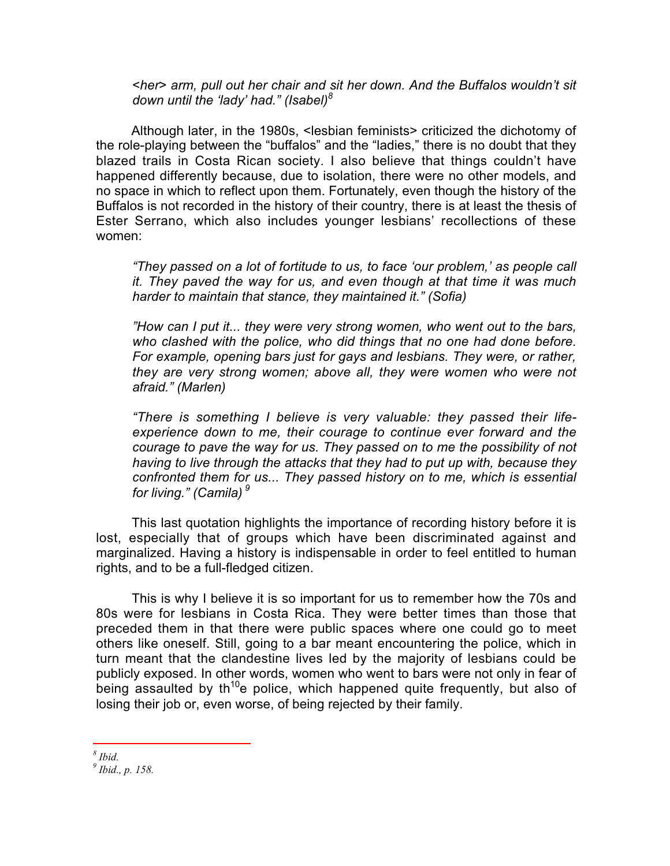*<her> arm, pull out her chair and sit her down. And the Buffalos wouldn't sit down until the 'lady' had." (Isabel)<sup>8</sup>*

Although later, in the 1980s, <lesbian feminists> criticized the dichotomy of the role-playing between the "buffalos" and the "ladies," there is no doubt that they blazed trails in Costa Rican society. I also believe that things couldn't have happened differently because, due to isolation, there were no other models, and no space in which to reflect upon them. Fortunately, even though the history of the Buffalos is not recorded in the history of their country, there is at least the thesis of Ester Serrano, which also includes younger lesbians' recollections of these women:

*"They passed on a lot of fortitude to us, to face 'our problem,' as people call it. They paved the way for us, and even though at that time it was much harder to maintain that stance, they maintained it." (Sofia)*

*"How can I put it... they were very strong women, who went out to the bars, who clashed with the police, who did things that no one had done before. For example, opening bars just for gays and lesbians. They were, or rather, they are very strong women; above all, they were women who were not afraid." (Marlen)*

*"There is something I believe is very valuable: they passed their lifeexperience down to me, their courage to continue ever forward and the courage to pave the way for us. They passed on to me the possibility of not having to live through the attacks that they had to put up with, because they confronted them for us... They passed history on to me, which is essential for living." (Camila)<sup>9</sup>*

This last quotation highlights the importance of recording history before it is lost, especially that of groups which have been discriminated against and marginalized. Having a history is indispensable in order to feel entitled to human rights, and to be a full-fledged citizen.

This is why I believe it is so important for us to remember how the 70s and 80s were for lesbians in Costa Rica. They were better times than those that preceded them in that there were public spaces where one could go to meet others like oneself. Still, going to a bar meant encountering the police, which in turn meant that the clandestine lives led by the majority of lesbians could be publicly exposed. In other words, women who went to bars were not only in fear of being assaulted by th<sup>10</sup>e police, which happened quite frequently, but also of losing their job or, even worse, of being rejected by their family.

8 Ibid.

 $^9$  Ibid., p. 158.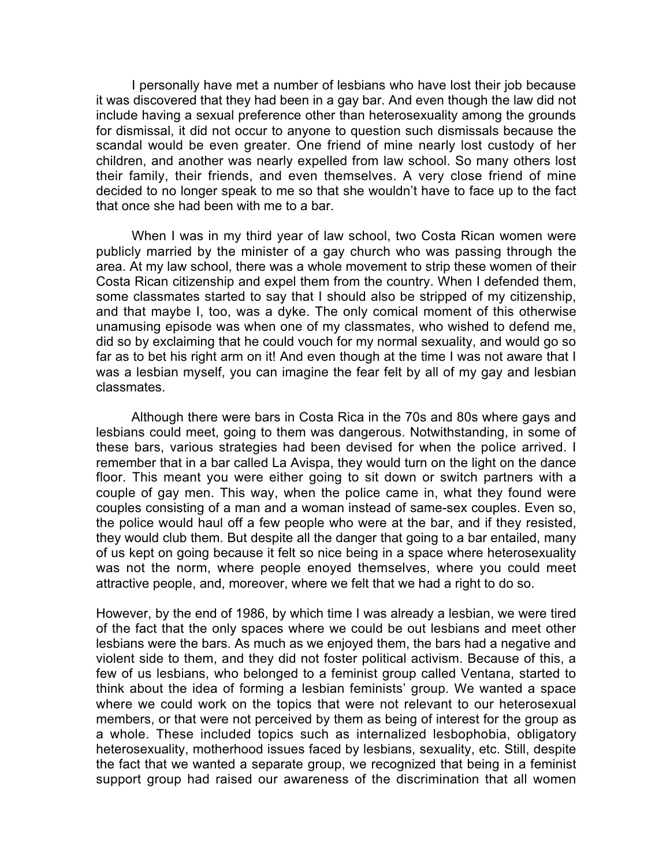I personally have met a number of lesbians who have lost their job because it was discovered that they had been in a gay bar. And even though the law did not include having a sexual preference other than heterosexuality among the grounds for dismissal, it did not occur to anyone to question such dismissals because the scandal would be even greater. One friend of mine nearly lost custody of her children, and another was nearly expelled from law school. So many others lost their family, their friends, and even themselves. A very close friend of mine decided to no longer speak to me so that she wouldn't have to face up to the fact that once she had been with me to a bar.

When I was in my third year of law school, two Costa Rican women were publicly married by the minister of a gay church who was passing through the area. At my law school, there was a whole movement to strip these women of their Costa Rican citizenship and expel them from the country. When I defended them, some classmates started to say that I should also be stripped of my citizenship, and that maybe I, too, was a dyke. The only comical moment of this otherwise unamusing episode was when one of my classmates, who wished to defend me, did so by exclaiming that he could vouch for my normal sexuality, and would go so far as to bet his right arm on it! And even though at the time I was not aware that I was a lesbian myself, you can imagine the fear felt by all of my gay and lesbian classmates.

Although there were bars in Costa Rica in the 70s and 80s where gays and lesbians could meet, going to them was dangerous. Notwithstanding, in some of these bars, various strategies had been devised for when the police arrived. I remember that in a bar called La Avispa, they would turn on the light on the dance floor. This meant you were either going to sit down or switch partners with a couple of gay men. This way, when the police came in, what they found were couples consisting of a man and a woman instead of same-sex couples. Even so, the police would haul off a few people who were at the bar, and if they resisted, they would club them. But despite all the danger that going to a bar entailed, many of us kept on going because it felt so nice being in a space where heterosexuality was not the norm, where people enoyed themselves, where you could meet attractive people, and, moreover, where we felt that we had a right to do so.

However, by the end of 1986, by which time I was already a lesbian, we were tired of the fact that the only spaces where we could be out lesbians and meet other lesbians were the bars. As much as we enjoyed them, the bars had a negative and violent side to them, and they did not foster political activism. Because of this, a few of us lesbians, who belonged to a feminist group called Ventana, started to think about the idea of forming a lesbian feminists' group. We wanted a space where we could work on the topics that were not relevant to our heterosexual members, or that were not perceived by them as being of interest for the group as a whole. These included topics such as internalized lesbophobia, obligatory heterosexuality, motherhood issues faced by lesbians, sexuality, etc. Still, despite the fact that we wanted a separate group, we recognized that being in a feminist support group had raised our awareness of the discrimination that all women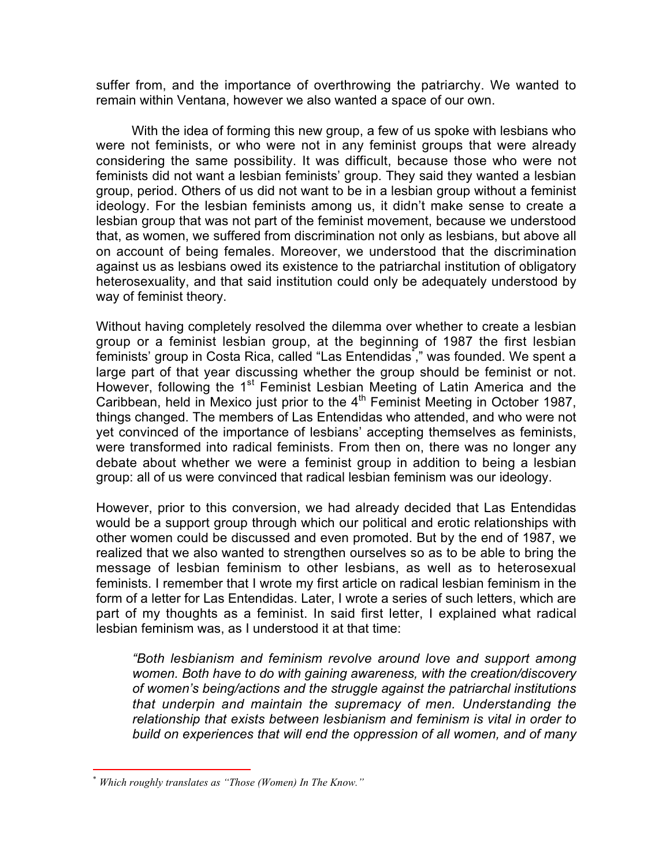suffer from, and the importance of overthrowing the patriarchy. We wanted to remain within Ventana, however we also wanted a space of our own.

With the idea of forming this new group, a few of us spoke with lesbians who were not feminists, or who were not in any feminist groups that were already considering the same possibility. It was difficult, because those who were not feminists did not want a lesbian feminists' group. They said they wanted a lesbian group, period. Others of us did not want to be in a lesbian group without a feminist ideology. For the lesbian feminists among us, it didn't make sense to create a lesbian group that was not part of the feminist movement, because we understood that, as women, we suffered from discrimination not only as lesbians, but above all on account of being females. Moreover, we understood that the discrimination against us as lesbians owed its existence to the patriarchal institution of obligatory heterosexuality, and that said institution could only be adequately understood by way of feminist theory.

Without having completely resolved the dilemma over whether to create a lesbian group or a feminist lesbian group, at the beginning of 1987 the first lesbian  $\bar{\rm f}$ eminists' group in Costa Rica, called "Las Entendidas ̇̃," was founded. We spent a large part of that year discussing whether the group should be feminist or not. However, following the 1<sup>st</sup> Feminist Lesbian Meeting of Latin America and the Caribbean, held in Mexico just prior to the  $4<sup>th</sup>$  Feminist Meeting in October 1987, things changed. The members of Las Entendidas who attended, and who were not yet convinced of the importance of lesbians' accepting themselves as feminists, were transformed into radical feminists. From then on, there was no longer any debate about whether we were a feminist group in addition to being a lesbian group: all of us were convinced that radical lesbian feminism was our ideology.

However, prior to this conversion, we had already decided that Las Entendidas would be a support group through which our political and erotic relationships with other women could be discussed and even promoted. But by the end of 1987, we realized that we also wanted to strengthen ourselves so as to be able to bring the message of lesbian feminism to other lesbians, as well as to heterosexual feminists. I remember that I wrote my first article on radical lesbian feminism in the form of a letter for Las Entendidas. Later, I wrote a series of such letters, which are part of my thoughts as a feminist. In said first letter, I explained what radical lesbian feminism was, as I understood it at that time:

*"Both lesbianism and feminism revolve around love and support among women. Both have to do with gaining awareness, with the creation/discovery of women's being/actions and the struggle against the patriarchal institutions that underpin and maintain the supremacy of men. Understanding the relationship that exists between lesbianism and feminism is vital in order to build on experiences that will end the oppression of all women, and of many*

\* Which roughly translates as "Those (Women) In The Know."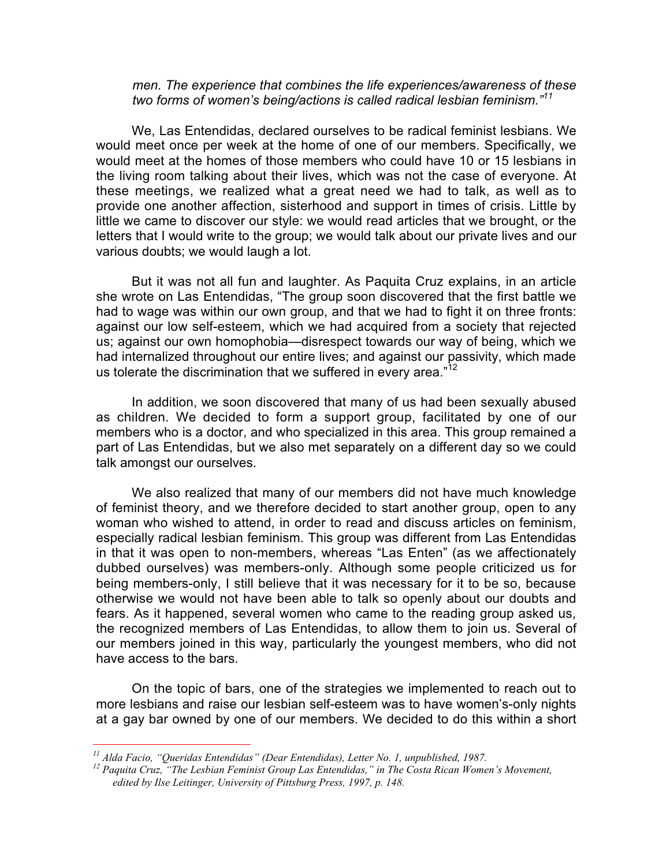## *men. The experience that combines the life experiences/awareness of these two forms of women's being/actions is called radical lesbian feminism."<sup>11</sup>*

We, Las Entendidas, declared ourselves to be radical feminist lesbians. We would meet once per week at the home of one of our members. Specifically, we would meet at the homes of those members who could have 10 or 15 lesbians in the living room talking about their lives, which was not the case of everyone. At these meetings, we realized what a great need we had to talk, as well as to provide one another affection, sisterhood and support in times of crisis. Little by little we came to discover our style: we would read articles that we brought, or the letters that I would write to the group; we would talk about our private lives and our various doubts; we would laugh a lot.

But it was not all fun and laughter. As Paquita Cruz explains, in an article she wrote on Las Entendidas, "The group soon discovered that the first battle we had to wage was within our own group, and that we had to fight it on three fronts: against our low self-esteem, which we had acquired from a society that rejected us; against our own homophobia—disrespect towards our way of being, which we had internalized throughout our entire lives; and against our passivity, which made us tolerate the discrimination that we suffered in every area. $12$ 

In addition, we soon discovered that many of us had been sexually abused as children. We decided to form a support group, facilitated by one of our members who is a doctor, and who specialized in this area. This group remained a part of Las Entendidas, but we also met separately on a different day so we could talk amongst our ourselves.

We also realized that many of our members did not have much knowledge of feminist theory, and we therefore decided to start another group, open to any woman who wished to attend, in order to read and discuss articles on feminism, especially radical lesbian feminism. This group was different from Las Entendidas in that it was open to non-members, whereas "Las Enten" (as we affectionately dubbed ourselves) was members-only. Although some people criticized us for being members-only, I still believe that it was necessary for it to be so, because otherwise we would not have been able to talk so openly about our doubts and fears. As it happened, several women who came to the reading group asked us, the recognized members of Las Entendidas, to allow them to join us. Several of our members joined in this way, particularly the youngest members, who did not have access to the bars.

On the topic of bars, one of the strategies we implemented to reach out to more lesbians and raise our lesbian self-esteem was to have women's-only nights at a gay bar owned by one of our members. We decided to do this within a short

 $11$  Alda Facio, "Queridas Entendidas" (Dear Entendidas), Letter No. 1, unpublished, 1987.

 $12$  Paquita Cruz, "The Lesbian Feminist Group Las Entendidas," in The Costa Rican Women's Movement, edited by Ilse Leitinger, University of Pittsburg Press, 1997, p. 148.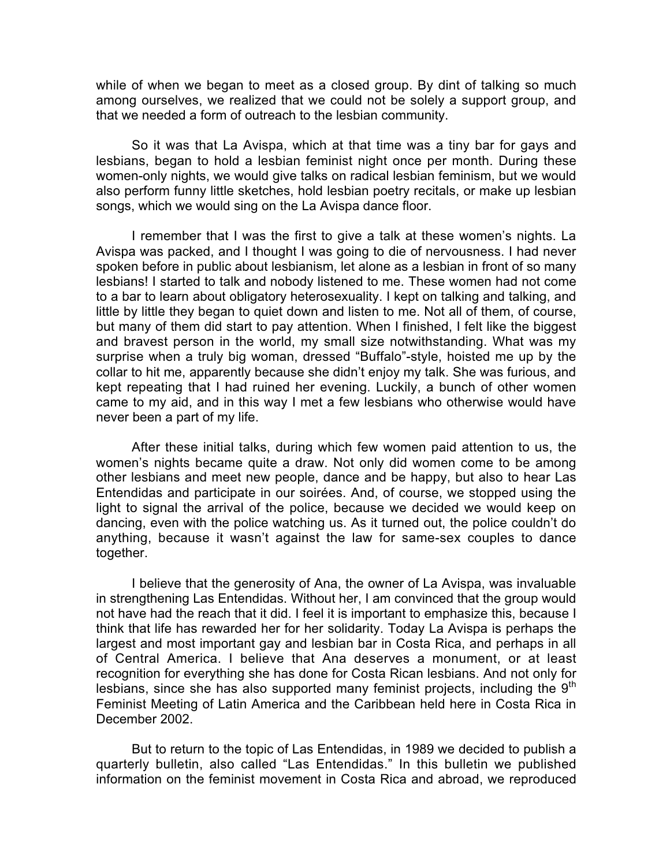while of when we began to meet as a closed group. By dint of talking so much among ourselves, we realized that we could not be solely a support group, and that we needed a form of outreach to the lesbian community.

So it was that La Avispa, which at that time was a tiny bar for gays and lesbians, began to hold a lesbian feminist night once per month. During these women-only nights, we would give talks on radical lesbian feminism, but we would also perform funny little sketches, hold lesbian poetry recitals, or make up lesbian songs, which we would sing on the La Avispa dance floor.

I remember that I was the first to give a talk at these women's nights. La Avispa was packed, and I thought I was going to die of nervousness. I had never spoken before in public about lesbianism, let alone as a lesbian in front of so many lesbians! I started to talk and nobody listened to me. These women had not come to a bar to learn about obligatory heterosexuality. I kept on talking and talking, and little by little they began to quiet down and listen to me. Not all of them, of course, but many of them did start to pay attention. When I finished, I felt like the biggest and bravest person in the world, my small size notwithstanding. What was my surprise when a truly big woman, dressed "Buffalo"-style, hoisted me up by the collar to hit me, apparently because she didn't enjoy my talk. She was furious, and kept repeating that I had ruined her evening. Luckily, a bunch of other women came to my aid, and in this way I met a few lesbians who otherwise would have never been a part of my life.

After these initial talks, during which few women paid attention to us, the women's nights became quite a draw. Not only did women come to be among other lesbians and meet new people, dance and be happy, but also to hear Las Entendidas and participate in our soirées. And, of course, we stopped using the light to signal the arrival of the police, because we decided we would keep on dancing, even with the police watching us. As it turned out, the police couldn't do anything, because it wasn't against the law for same-sex couples to dance together.

I believe that the generosity of Ana, the owner of La Avispa, was invaluable in strengthening Las Entendidas. Without her, I am convinced that the group would not have had the reach that it did. I feel it is important to emphasize this, because I think that life has rewarded her for her solidarity. Today La Avispa is perhaps the largest and most important gay and lesbian bar in Costa Rica, and perhaps in all of Central America. I believe that Ana deserves a monument, or at least recognition for everything she has done for Costa Rican lesbians. And not only for lesbians, since she has also supported many feminist projects, including the  $9<sup>th</sup>$ Feminist Meeting of Latin America and the Caribbean held here in Costa Rica in December 2002.

But to return to the topic of Las Entendidas, in 1989 we decided to publish a quarterly bulletin, also called "Las Entendidas." In this bulletin we published information on the feminist movement in Costa Rica and abroad, we reproduced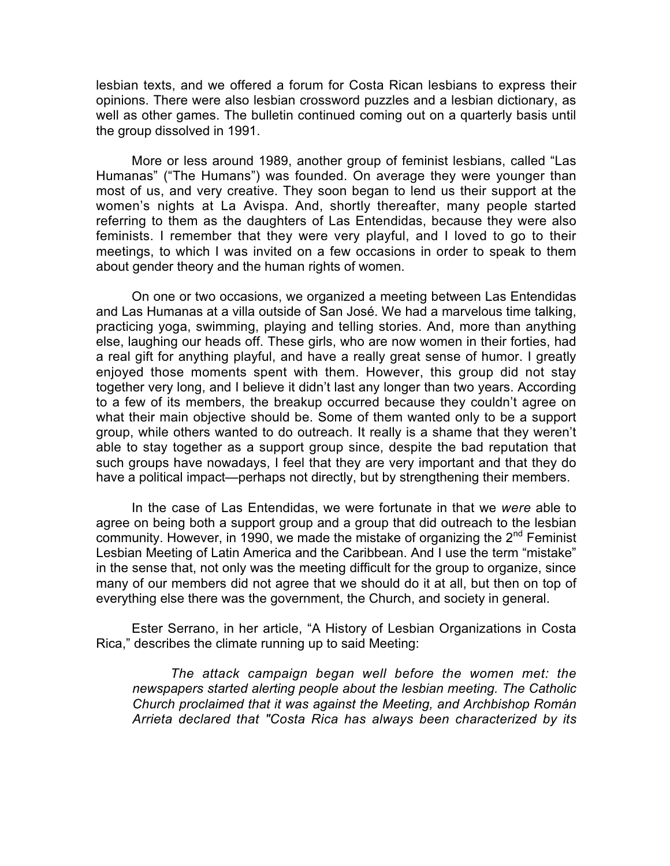lesbian texts, and we offered a forum for Costa Rican lesbians to express their opinions. There were also lesbian crossword puzzles and a lesbian dictionary, as well as other games. The bulletin continued coming out on a quarterly basis until the group dissolved in 1991.

More or less around 1989, another group of feminist lesbians, called "Las Humanas" ("The Humans") was founded. On average they were younger than most of us, and very creative. They soon began to lend us their support at the women's nights at La Avispa. And, shortly thereafter, many people started referring to them as the daughters of Las Entendidas, because they were also feminists. I remember that they were very playful, and I loved to go to their meetings, to which I was invited on a few occasions in order to speak to them about gender theory and the human rights of women.

On one or two occasions, we organized a meeting between Las Entendidas and Las Humanas at a villa outside of San José. We had a marvelous time talking, practicing yoga, swimming, playing and telling stories. And, more than anything else, laughing our heads off. These girls, who are now women in their forties, had a real gift for anything playful, and have a really great sense of humor. I greatly enjoyed those moments spent with them. However, this group did not stay together very long, and I believe it didn't last any longer than two years. According to a few of its members, the breakup occurred because they couldn't agree on what their main objective should be. Some of them wanted only to be a support group, while others wanted to do outreach. It really is a shame that they weren't able to stay together as a support group since, despite the bad reputation that such groups have nowadays, I feel that they are very important and that they do have a political impact—perhaps not directly, but by strengthening their members.

In the case of Las Entendidas, we were fortunate in that we *were* able to agree on being both a support group and a group that did outreach to the lesbian community. However, in 1990, we made the mistake of organizing the  $2<sup>nd</sup>$  Feminist Lesbian Meeting of Latin America and the Caribbean. And I use the term "mistake" in the sense that, not only was the meeting difficult for the group to organize, since many of our members did not agree that we should do it at all, but then on top of everything else there was the government, the Church, and society in general.

Ester Serrano, in her article, "A History of Lesbian Organizations in Costa Rica," describes the climate running up to said Meeting:

*The attack campaign began well before the women met: the newspapers started alerting people about the lesbian meeting. The Catholic Church proclaimed that it was against the Meeting, and Archbishop Román Arrieta declared that "Costa Rica has always been characterized by its*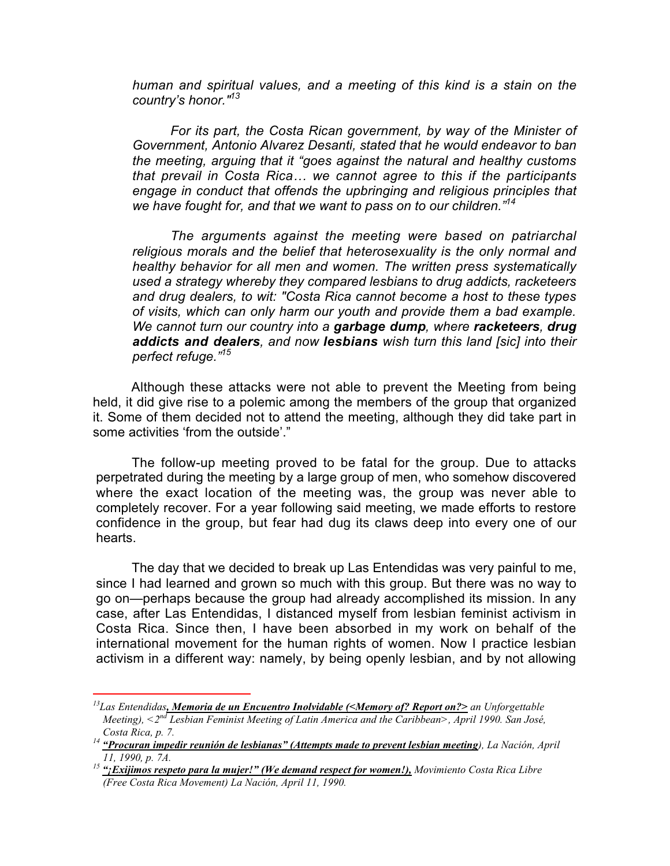*human and spiritual values, and a meeting of this kind is a stain on the country's honor."13*

*For its part, the Costa Rican government, by way of the Minister of Government, Antonio Alvarez Desanti, stated that he would endeavor to ban the meeting, arguing that it "goes against the natural and healthy customs that prevail in Costa Rica… we cannot agree to this if the participants engage in conduct that offends the upbringing and religious principles that we have fought for, and that we want to pass on to our children."<sup>14</sup>*

*The arguments against the meeting were based on patriarchal religious morals and the belief that heterosexuality is the only normal and healthy behavior for all men and women. The written press systematically used a strategy whereby they compared lesbians to drug addicts, racketeers and drug dealers, to wit: "Costa Rica cannot become a host to these types of visits, which can only harm our youth and provide them a bad example. We cannot turn our country into a garbage dump, where racketeers, drug addicts and dealers, and now lesbians wish turn this land [sic] into their perfect refuge."15*

Although these attacks were not able to prevent the Meeting from being held, it did give rise to a polemic among the members of the group that organized it. Some of them decided not to attend the meeting, although they did take part in some activities 'from the outside'."

The follow-up meeting proved to be fatal for the group. Due to attacks perpetrated during the meeting by a large group of men, who somehow discovered where the exact location of the meeting was, the group was never able to completely recover. For a year following said meeting, we made efforts to restore confidence in the group, but fear had dug its claws deep into every one of our hearts.

The day that we decided to break up Las Entendidas was very painful to me, since I had learned and grown so much with this group. But there was no way to go on—perhaps because the group had already accomplished its mission. In any case, after Las Entendidas, I distanced myself from lesbian feminist activism in Costa Rica. Since then, I have been absorbed in my work on behalf of the international movement for the human rights of women. Now I practice lesbian activism in a different way: namely, by being openly lesbian, and by not allowing

 $^{13}$ Las Entendidas, Memoria de un Encuentro Inolvidable (<Memory of? Report on?> an Unforgettable Meeting),  $\langle 2^{nd}$  Lesbian Feminist Meeting of Latin America and the Caribbean>, April 1990. San José,

Costa Rica, p. 7.<br><sup>14</sup> "Procuran impedir reunión de lesbianas" (Attempts made to prevent lesbian meeting), La Nación, April<br>11, 1990, p. 7A.

<sup>&</sup>lt;sup>15</sup> "¡**Exijimos respeto para la mujer!" (We demand respect for women!),** Movimiento Costa Rica Libre (Free Costa Rica Movement) La Nación, April 11, 1990.